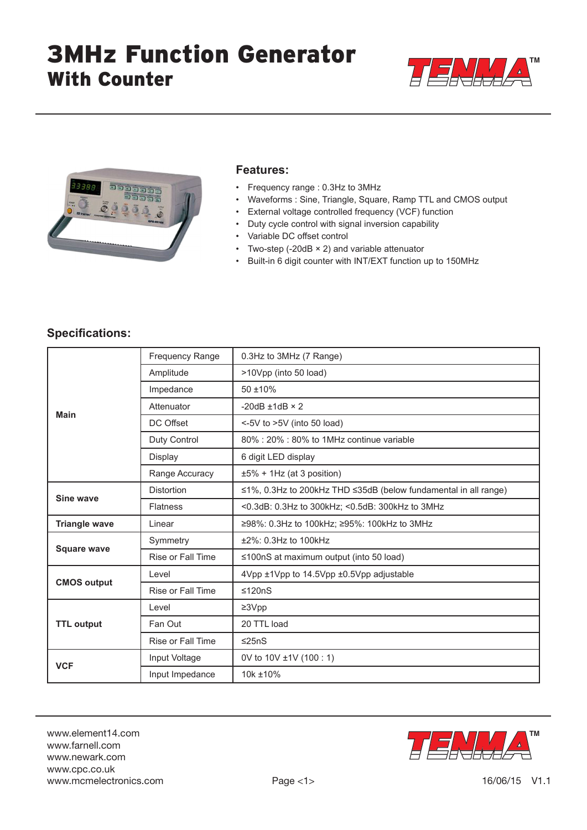



## **Features:**

- Frequency range : 0.3Hz to 3MHz
- Waveforms : Sine, Triangle, Square, Ramp TTL and CMOS output
- External voltage controlled frequency (VCF) function
- Duty cycle control with signal inversion capability
- Variable DC offset control
- Two-step (-20dB  $\times$  2) and variable attenuator
- Built-in 6 digit counter with INT/EXT function up to 150MHz

## **Specifications:**

| <b>Main</b>          | <b>Frequency Range</b>   | 0.3Hz to 3MHz (7 Range)                                         |
|----------------------|--------------------------|-----------------------------------------------------------------|
|                      | Amplitude                | >10Vpp (into 50 load)                                           |
|                      | Impedance                | $50 + 10%$                                                      |
|                      | Attenuator               | $-20dB \pm 1dB \times 2$                                        |
|                      | DC Offset                | $\leq$ -5V to >5V (into 50 load)                                |
|                      | Duty Control             | 80% : 20% : 80% to 1MHz continue variable                       |
|                      | Display                  | 6 digit LED display                                             |
|                      | Range Accuracy           | $±5\% + 1Hz$ (at 3 position)                                    |
| Sine wave            | <b>Distortion</b>        | ≤1%, 0.3Hz to 200kHz THD ≤35dB (below fundamental in all range) |
|                      | <b>Flatness</b>          | <0.3dB: 0.3Hz to 300kHz; <0.5dB: 300kHz to 3MHz                 |
| <b>Triangle wave</b> | Linear                   | ≥98%: 0.3Hz to 100kHz; ≥95%: 100kHz to 3MHz                     |
| <b>Square wave</b>   | Symmetry                 | ±2%: 0.3Hz to 100kHz                                            |
|                      | <b>Rise or Fall Time</b> | ≤100nS at maximum output (into 50 load)                         |
| <b>CMOS output</b>   | Level                    | 4Vpp ±1Vpp to 14.5Vpp ±0.5Vpp adjustable                        |
|                      | Rise or Fall Time        | ≤120nS                                                          |
| <b>TTL output</b>    | Level                    | $\geq 3Vpp$                                                     |
|                      | Fan Out                  | 20 TTL load                                                     |
|                      | <b>Rise or Fall Time</b> | ≤25nS                                                           |
| <b>VCF</b>           | Input Voltage            | 0V to 10V ±1V (100 : 1)                                         |
|                      | Input Impedance          | 10k ±10%                                                        |

www.element14.com www.farnell.com www.newark.com www.cpc.co.uk www.mcmelectronics.com